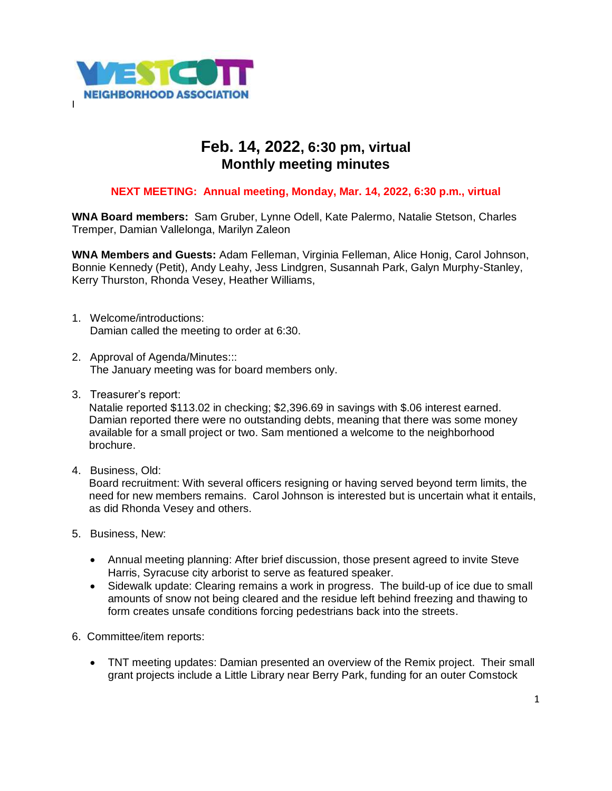

## **Feb. 14, 2022, 6:30 pm, virtual Monthly meeting minutes**

## **NEXT MEETING: Annual meeting, Monday, Mar. 14, 2022, 6:30 p.m., virtual**

**WNA Board members:** Sam Gruber, Lynne Odell, Kate Palermo, Natalie Stetson, Charles Tremper, Damian Vallelonga, Marilyn Zaleon

**WNA Members and Guests:** Adam Felleman, Virginia Felleman, Alice Honig, Carol Johnson, Bonnie Kennedy (Petit), Andy Leahy, Jess Lindgren, Susannah Park, Galyn Murphy-Stanley, Kerry Thurston, Rhonda Vesey, Heather Williams,

- 1. Welcome/introductions: Damian called the meeting to order at 6:30.
- 2. Approval of Agenda/Minutes::: The January meeting was for board members only.
- 3. Treasurer's report:

Natalie reported \$113.02 in checking; \$2,396.69 in savings with \$.06 interest earned. Damian reported there were no outstanding debts, meaning that there was some money available for a small project or two. Sam mentioned a welcome to the neighborhood brochure.

4. Business, Old:

Board recruitment: With several officers resigning or having served beyond term limits, the need for new members remains. Carol Johnson is interested but is uncertain what it entails, as did Rhonda Vesey and others.

- 5. Business, New:
	- Annual meeting planning: After brief discussion, those present agreed to invite Steve Harris, Syracuse city arborist to serve as featured speaker.
	- Sidewalk update: Clearing remains a work in progress. The build-up of ice due to small amounts of snow not being cleared and the residue left behind freezing and thawing to form creates unsafe conditions forcing pedestrians back into the streets.
- 6. Committee/item reports:
	- TNT meeting updates: Damian presented an overview of the Remix project. Their small grant projects include a Little Library near Berry Park, funding for an outer Comstock